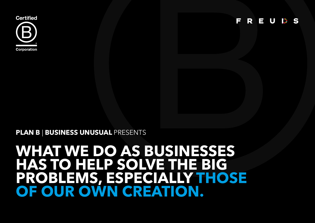## **WHAT WE DO AS BUSINESSES HAS TO HELP SOLVE THE BIG PROBLEMS, ESPECIALLY THOSE OF OUR OWN CREATION.**

**PLAN B** | **BUSINESS UNUSUAL** PRESENTS



F REUSS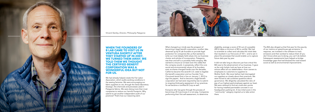**WHEN THE FOUNDERS OF B LAB CAME TO VISIT US IN VENTURA SHORTLY AFTER THEY STARTED UP IN 2007, WE TURNED THEM AWAY. WE TOLD THEM WE THOUGHT THE CERTIFIED BENEFIT CORPORATION WAS A WONDERFUL IDEA BUT NOT FOR US.** 

We had already helped create the Fair Labor Association, which audits working conditions in the sewing factories. We were encouraging our fabric suppliers to vet, through the Swiss laboratory bluesign, the chemicals and processes used in Patagonia fabrics. We were doing more than most companies to reduce our harmful footprint. Why submit to yet another independent audit of our practices? That's how our reasoning went.





*Vincent Stanley, Director, Philosophy Patagonia*

What changed our minds was the prospect of becoming a legal benefit corporation, another idea dreamed up by B Lab founders to provide legal protection for companies like us that wanted to write our most deeply held values into our business charter and articles of incorporation. Patagonia was then and still is a privately held company. We wanted to ensure (or at least even the odds) that the company would, in perpetuity, reflect the core social and environmental values of its founders, even as shares changed hands over the decades. California became the seventh U.S. state to legalize the benefit corporation and our founder Yvon Chouinard stood first in line on January 1, 2012 to sign the papers. And to become a legal benefit corporation we had were required by law to submit to ongoing third-party assessment of our practices. So we became a certified B Corp as well.

Everyone who has gone through the process of becoming a B Corp knows it is not easy. Companies performing their first self-assessment, to determine

eligibility, average a score of 55 out of a possible 200 (it takes a minimum of 80 to certify). We had to scramble to collect and calculate the initial data that resulted in our first score of 107— and to set in place the processes that would enable us to capture future data year by year.

It did not take long to discover just how critical the BIA was to the advancement of our business. It gave us the only holistic look we have at how our actions affect all our stakeholders—from owners to employees to customers to suppliers to Mother Earth. We never before had interrogated our suppliers so closely about their practices. We were forced to ask ourselves questions about governance. We diligently calculated the ratio of pay of our highest paid employee against our least. We were relieved to find we could earn points for having installed permeable concrete in our headquarters parking lot. A low initial score in the "community" category inspired us to take action there.

The BIA also dinged us that first year for the paucity of our metrics on greenhouse gas emissions. In response, we invested in the software to track emissions and then worked to reduce them (if you don't know what you're doing, you can't do better). Subsequent assessments have helped us bridge knowledge gaps that had blocked the road toward social as well as environmental improvements.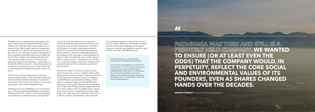The BIA score is a measurement of progress, not a goal in itself. (A social scientist will tell you that a measurement that becomes a goal ceases to be a measurement.) We couldn't game the assessment if we wanted to. It grows more rigorous each year. But there is a bit of a game involved. We started to feel competitive with other high scorers. When we first hit 150, we asked our friends at Dr. Bronner's how they were able to achieve 175! And as the assessment grows more rigorous— a good sign of the health of the movement— it becomes harder for companies to improve the score. Case in point, for our last assessment Patagonia fell back a tenth of a point.

The B Corp movement helps good companies become better citizens. It also puts the socially and environmentally minded businesses in touch with one another; the B Corp community is in many ways as strong an asset as the assessment itself.

At Patagonia we are delighted to see a movement and a community spread worldwide, particularly to Europe and the U.K., where a social consciousness and awareness of climate change is stronger than

in the U.S. In the ten years since we signed on with B Lab twinned social and environmental crisis has grown more manifest everywhere. It will take all the forces of society, including governments and N.G.O.s as well as businesses )privately and publicly held), to tackle the challenges posed by the rending of the social fabric and evisceration of nature. It does not help that voters at the national level in many countries, including the U.S. and the U.K., have been voting in autocratic charlatans who promise heaven to their constituents and to hell with all others.

All the more reason for those of us who are free and inclined to act to do so. It doesn't really matter what's good for business unless it's also good for the community and the planet, not just in an abstract or philanthropic way, but directly. Taking a noble stand or meeting a payroll or peeling off pre-tax donations is not enough. What we do as businesses has to help solve the big problems, especially those of our own creation. We are obliged by the urgency of our time to teach ourselves how to do the right thing in the right way and to help each other to do it. We do number, as businesses, in the hundreds

of thousands around the world and we can, and have to, make a difference. The B Lab movement provides us the self-knowledge and the good company to ask the right questions, take the right actions, and make that difference stick.

> *Vincent Stanley is co-author with Yvon Chouinard of The Responsible Company.*

*He has been with Patagonia on and off since its beginning in 1973, for many of those years in key executive roles as head of sales or marketing. More informally, he is Patagonia's long-time chief storyteller. He currently serves as the company's Director, Patagonia Philosophy, and is a visiting fellow at the Yale School of Management.*

**"**

**VINCENT STANLEY** Director, Philosophy Patagonia

**PATAGONIA WAS THEN AND STILL IS A PRIVATELY HELD COMPANY. WE WANTED TO ENSURE (OR AT LEAST EVEN THE ODDS) THAT THE COMPANY WOULD, IN PERPETUITY, REFLECT THE CORE SOCIAL AND ENVIRONMENTAL VALUES OF ITS FOUNDERS, EVEN AS SHARES CHANGED HANDS OVER THE DECADES.**